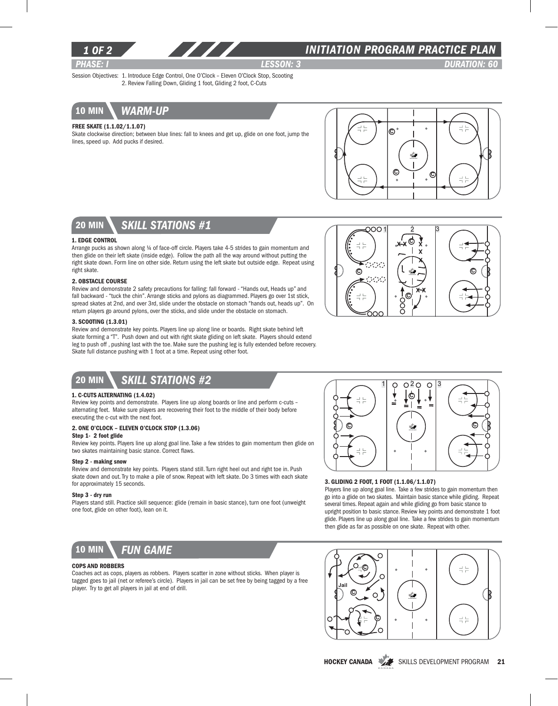

### *1 of 2 INITIATION program PRACTICE PLAN*

*PHASE: I lesson: 3 DURATION: 60* 

Session Objectives: 1. Introduce Edge Control, One O'Clock – Eleven O'Clock Stop, Scooting 2. Review Falling Down, Gliding 1 foot, Gliding 2 foot, C-Cuts



### Free Skate (1.1.02/1.1.07)

Skate clockwise direction; between blue lines: fall to knees and get up, glide on one foot, jump the lines, speed up. Add pucks if desired.





#### 1. Edge Control

Arrange pucks as shown along ¼ of face-off circle. Players take 4-5 strides to gain momentum and then glide on their left skate (inside edge). Follow the path all the way around without putting the right skate down. Form line on other side. Return using the left skate but outside edge. Repeat using right skate.

#### 2. OBSTACLE COURSE

Review and demonstrate 2 safety precautions for falling: fall forward - "Hands out, Heads up" and fall backward - "tuck the chin". Arrange sticks and pylons as diagrammed. Players go over 1st stick, spread skates at 2nd, and over 3rd, slide under the obstacle on stomach "hands out, heads up". On return players go around pylons, over the sticks, and slide under the obstacle on stomach.

### 3. Scooting (1.3.01)

Review and demonstrate key points. Players line up along line or boards. Right skate behind left skate forming a "T". Push down and out with right skate gliding on left skate. Players should extend leg to push off , pushing last with the toe. Make sure the pushing leg is fully extended before recovery. Skate full distance pushing with 1 foot at a time. Repeat using other foot.



# 20 min *skill stations #2*

### 1. C-Cuts Alternating (1.4.02)

Review key points and demonstrate. Players line up along boards or line and perform c-cuts – alternating feet. Make sure players are recovering their foot to the middle of their body before executing the c-cut with the next foot.

### 2. One O'clock – Eleven O'clock stop (1.3.06)

#### Step 1- 2 foot glide

Review key points. Players line up along goal line. Take a few strides to gain momentum then glide on two skates maintaining basic stance. Correct flaws.

#### Step 2 - making snow

Review and demonstrate key points. Players stand still. Turn right heel out and right toe in. Push skate down and out. Try to make a pile of snow. Repeat with left skate. Do 3 times with each skate for approximately 15 seconds.

#### Step 3 - dry run

Players stand still. Practice skill sequence: glide (remain in basic stance), turn one foot (unweight one foot, glide on other foot), lean on it.



#### Cops and Robbers

Coaches act as cops, players as robbers. Players scatter in zone without sticks. When player is tagged goes to jail (net or referee's circle). Players in jail can be set free by being tagged by a free player. Try to get all players in jail at end of drill.



#### 3. Gliding 2 foot, 1 foot (1.1.06/1.1.07)

Players line up along goal line. Take a few strides to gain momentum then go into a glide on two skates. Maintain basic stance while gliding. Repeat several times. Repeat again and while gliding go from basic stance to upright position to basic stance. Review key points and demonstrate 1 foot glide. Players line up along goal line. Take a few strides to gain momentum then glide as far as possible on one skate. Repeat with other.



HOCKEY CANADA SKILLS DEVELOPMENT PROGRAM 21